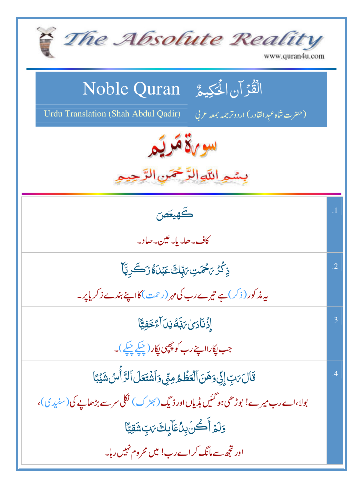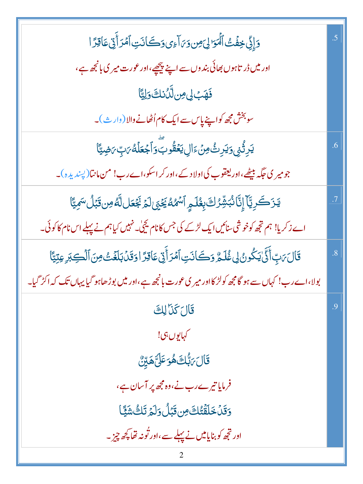| وَإِنِّي خِفَتُ ٱلْمَوَالِيَ مِن وَىَ آءِي وَكَانَتِ ٱمُرَأَّتِي عَاقِرًا                                      | $.5\,$         |
|----------------------------------------------------------------------------------------------------------------|----------------|
| اور میں ڈر تاہوں بھائی بند وں سے اپنے پیچھے،اور عورت میر کی بانچھ ہے،                                          |                |
| فَهَبْ لِى صِنلَّكُ نَكَ وَلِيًّا                                                                              |                |
| سوبخش مجھ کواپنے پاس سے <mark>ایک کام</mark> اُٹھانے والا (وار <sub>ٹ)۔</sub>                                  |                |
| <u>ؠ</u> ؘڔؚڗ۠ <sub>ٛ</sub> ڹۑ؋ <i>ؾ</i> ڔؚٮؿ۠۫ڡؚڽٙۦٙٳڸ <b>ؽؘػ۫ۊ۠ڔٮؖۜ؋ٲجۡعؘڶ</b> ڡ۠ <i>؆</i> ؾؚؚ <i>؆</i> ۻؾ۠ٵ | .6             |
| جومیر کی جگہ بیٹھے،اور یعقوب کی اولا دے،اور کر اسکو،اے رب! من مانتا( پپندیدہ)۔                                 |                |
| يَزَكَرِيَّآ إِنَّا نُبَشِّرُكَ بِغُلَمٍ ٱسْمُهُ يَحْيَىٰلَمَ بَجُعَل لَّهُ مِن قَبْلُ سَمِيَّا                |                |
| اے زکریا! ہم تجھ کوخوشی سنائیں ایک لڑکے کی جس کانام کیچی کے نہیں کیاہم نے پہلے اس نام کاکوئی۔                  |                |
| قَالَ بَنِّ أَنَّى يَكُونُ لِي غُلَيُّ وَكَانَتِ أَمْرَأَيْنِ عَاقِرًا وَقَدْ بَلَغَتْ مِنَ ٱلْكِبَرِ عِتِيًّا | $\overline{8}$ |
| بولا،اے رب! کہاں سے ہو گامچھ کولڑ کااور میر کی عورت بانجھ ہے،اور میں بوڑ ھاہو گیا یہاں تک کہ اکڑ گیا۔          |                |
| قَالَ كَذَا لِكَ                                                                                               | $\cdot$ 9      |
| كهايوں بى!                                                                                                     |                |
| <b>قَالَ <sub>ك</sub>َبُّكَ هُوَ عَلَىَّ هَ</b> يِّنَّ                                                         |                |
| فرمایا تیرے رب نے،وہ مجھ پر آسان ہے،                                                                           |                |
| <u>وَقَلْ خَلَقَتُكَ مِن قَبَلُ وَلَمَ تَكُ شَيَّا</u>                                                         |                |
| اور تجھ کو بنایامیں نے پہلے سے،اور تُونہ تھا پچھ چِز ۔                                                         |                |
|                                                                                                                |                |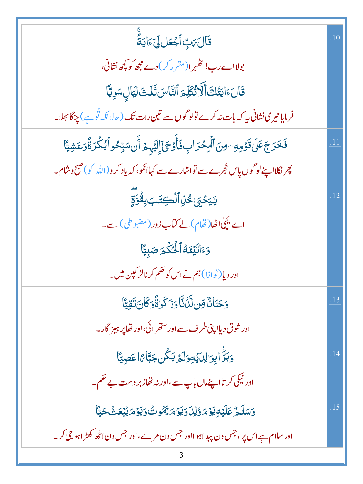| قَالَ مَبِّ ٱجْعَل                                                                                  | .10 |
|-----------------------------------------------------------------------------------------------------|-----|
| بولااے رب! کٹھہر ا( مقرر کر) دے مجھ کو کچھ نشانی،                                                   |     |
| قَالَ ءَايَتُكَ أَلَّاتُكَلِّمَ ٱلتَّاسَ ثَلَثَ لَيَالٍ سَوِيَّا                                    |     |
| فرمایا تیری نشانی بیر کہ بات نہ کرے تولو گوں سے تین رات تک ( حالا نکہ تُوہے ) چنگا بھلا۔            |     |
| فَخَرَجَ عَلَىٰ قَوۡمِهِۦمِنَ ٱلۡمِحۡرَابِ فَأَوۡحَىٰۤآإِلَيۡهِمۡ أَن سَبِّحُواۡ بُكۡرَةٗوَعَشِيَّا |     |
| پھر نکلااپنےلو گوں پاس حُجرے سے تواشارے سے کہاانکو، کہ یاد کر و(اللّٰہ کو)صبح وشام۔                 |     |
| ؠ <i>ۧ</i> ۑؘڂ <sub>ڲ</sub> ٚۦڂ۠ڶؚٱڷڲؚ <i>ػ</i> ؘڹڹؚۣڦؙۊۜۊٟؖ                                        | .12 |
| اے یچٰانھٰا(تھام) لے کتاب زور (مضبوطی) ہے۔                                                          |     |
| وَءَاتَيْنَكُ الْكُكْمَ صَبِيًّا                                                                    |     |
| اور دیا( <sup>ن</sup> وازا) ہم نے اس کو حکم کرنالڑ کپن میں۔                                         |     |
| <u>وَ</u> حَنَانَّاوِّن لَّٰ ُنَّاوَزَ کَوٰنُأَوَکَانَ تَقِیًّا                                     | .13 |
| اور شوق دیاا پنی طرف سے اور ستھرائی،اور تھاپر ہیز گار۔                                              |     |
| وَبَرَّ ابِوَالِدَيْهِوَلَهُ يَكُن جَبَّامًا عَصِيًّا                                               | .14 |
| اور نیکی کر تااپنےماں باپ سے،اور نہ تھاز بر دست بے حکم۔                                             |     |
| <u>وَسَلَّمُّ عَلَيۡهِ يَوۡمَ وُلِلۡ وَيَوۡمَ يَمُوتُ وَيَوۡمَ يُبۡعَثُ حَيَّآ</u>                  | .15 |
| اور سلام ہے اس پر ، جس دن پید اہو ااور جس دن مرے ،اور جس دن اٹھ کھڑ اہو جی کر۔                      |     |
|                                                                                                     |     |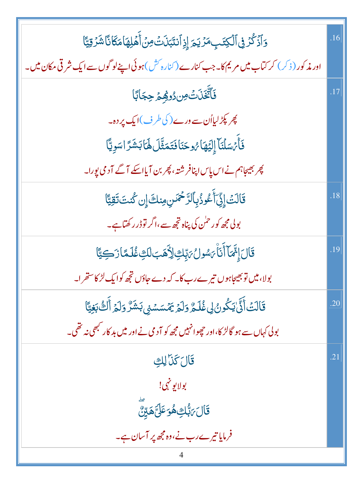| <u>و</u> َٱذۡكُرۡ فِى ٱلۡكِتَبِمَرۡ يَـٰٓمَ إِذِٱنتَبَانَتۡو <i>نۡ</i> ۚ أَهۡلِهَامَكَانَاشَرۡقِيَّا        | .16 |
|-------------------------------------------------------------------------------------------------------------|-----|
| اور مذکور ( ذکر ) کر کتاب میں مریم کا۔جب کنارے (کنارہ <sup>کش</sup> ) ہوئی اپنےلو گوں سے ایک شرقی مکان میں۔ |     |
| فَٱتَّغَذَتۡ صِ دُوْهِمۡ حِجَابًا                                                                           | .17 |
| پھر پکڑلیااُن سے ورے( کی طرف)ایک پر دہ۔                                                                     |     |
| فَأَمَ سَلْنَا إِلَيْهَا مُوحَنَا فَتَمَثَّلَ لَهَا بَشَرَّ اسَوِيًّا                                       |     |
| پھر بھیجاہم نے اس پاس اپنافر شتہ، پھر بن آیااسکے آگے آدمی پورا۔                                             |     |
| قَالَتْ إِنِّ أَعُوذُبِٱلرَّحْمَسِ مِنكَ إِن كُنتَ تَقِيًّا                                                 | .18 |
| بولی مجھ کور حمٰن کی پناہ تجھ سے،اگر توڈر رکھتاہے۔                                                          |     |
| قَالَ إِنَّمَآ أَنَاۨ مَسْولُ مَيِّكِ لِأَهَبَ لَكِ غُلَمًا زَكِيًّا                                        | .19 |
| بولا، میں توبھیجاہوں تیرے رب کا۔ کہ دے جاؤں تجھ کوایک لڑ کاستھرا۔                                           |     |
| قَالَتۡ أَنَّىٰ يَكُونُ لِى غُلَـمُّ وَلَمۡ يَمۡسَسۡنِى بَشَرٌ وَلَمۡ أَلَتُّ بَغِيًّا                      | .20 |
| بولی کہاں سے ہو گالڑ کا،اور حچھوانہیں مجھ کو آدمی نے اور میں بد کار کبھی نہ تھی۔                            |     |
| قَالَ كَذَا لِك                                                                                             | .21 |
| بولايو نهي!                                                                                                 |     |
| <b>قَالَ <sub>ك</sub>َبُّكِ هُوَ عَلَىَّ هَ</b> يِّنَّ                                                      |     |
| فرمایا تیرے رب نے،وہ مجھ پر آسان ہے۔                                                                        |     |
|                                                                                                             |     |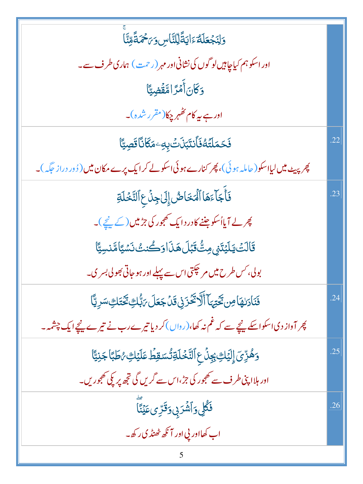| وَلِنَجۡعَلَهُۥَايَةَلِّلنَّاسِ وَ٢َحۡمَةً مِّنَّا                                          |     |
|---------------------------------------------------------------------------------------------|-----|
| اور اسکو ہم کیاچاہیں لو گوں کی نشانی اور مہر (رحمت) ہماری طرف سے۔                           |     |
| وَكَانَ أَمْرًا مَّقَضِيًّا                                                                 |     |
| اور ہے بیہ کام کھہر چکا(مقرر شدہ)۔                                                          |     |
| ڣؘڂڡؘڶؾؐڶۏٲڹؾڹؘڹۘؾؙڹؚ؋ٷڲٵؘڹٲڡٙڝؾٵ                                                           | .22 |
| پھر پیٹ میں لیااسکو(حاملہ ہوئی)، پھر کنارے ہوئی اسکولے کرایک پرے مکان میں (ڈور دراز حَکَہ)۔ |     |
| فَأَجَآءَهَا ٱلۡمَخَاڞُ إِلَىٰ جِنَٰٓ عِ ٱلتَّخۡلَةِ                                        | .23 |
| پھر لے <b>آیا</b> ُ سکو جننے کادر د ایک تھجور کی جڑمیں (کے <u>نیچ</u> )۔                    |     |
| قَالَتْ يَلَيْتَنِي مِتَّ قَبْلَ هَذَا وَكُنتُ نَسْيًا مَّنسِيًّا                           |     |
| بولی، <i>کس طرح میں مر</i> چکتی اس سے پہلے اور ہو جاتی بھولی بسر ی۔                         |     |
| فَنَادَلِهَامِن تَحْيَهَآ أَلَّا تَكَّرَنِى قَلْ جَعَلَ مَبُّكِ ثَكَّتَكِسَرِيَّآ           | .24 |
| پھر آواز دیا سکواسکے پنچے سے کہ غم نہ کھا،(رواں)کر دیا تیرے رب نے تیرے پنچےایک چشمہ ۔       |     |
| وَهُزِّيَ إِلَيۡكِ بِجِنَّ عِٱلتَّخۡلَةِ تُسَقِطُ عَلَيۡكِ مُطَبَّاجَٰنِيًّا                | .25 |
| اور ہلاا پنی طرف سے تھجور کی جڑ،اس سے گریں گی ت <mark>جھ پر پکی تھجوریں۔</mark>             |     |
| ڣ <i>ڴ</i> ڸ؋ٲۺ۫ۘڒۑٜ؋ <sup>ۊ</sup> ڗؚؽ؏ؘؽٵؖ                                                 | .26 |
| اب کھااور پي اور آ نکھ ٹھنڈ کی رکھ۔                                                         |     |
|                                                                                             |     |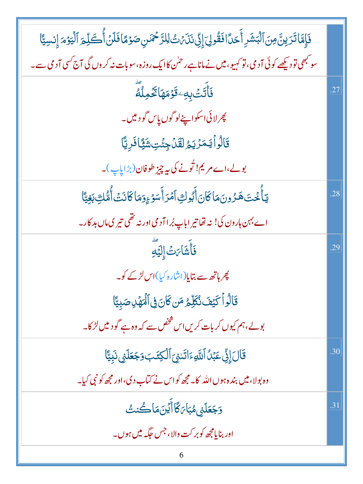| فَإِمَّا تَرَينَّ مِنَ ٱلْبَشَرِ أَحَدًافَقُولِيَ إِنِّي نَذَى اللَّهُ حَمَنِ صَوْمًا فَلَنْ أُكَلِّمَ ٱلْيَوْمَ إِنسِيًّا    |     |
|-------------------------------------------------------------------------------------------------------------------------------|-----|
| سو <sup>کب</sup> ھی تو دیکھے کوئی آدمی، تو کہیو، میں نے ماناہے رحمٰن کاایک روزہ، سوبات نہ کروں گی آج <sup>کس</sup> ی آدمی سے۔ |     |
| ۘڣؘٲٛؾؘؾۘٛڹ <sub>ؚ</sub> ڡؚۦۊؘۏؘڡؘۿٵؿ <sub>ۘۜ</sub> ٙػڡۣڵڡؖ                                                                   | .27 |
| پھر لائی اسکواپنےلو گوں پاس گودییں۔                                                                                           |     |
| قَالُواۡ لَيَمَرۡنَكُمُ لَقَلۡ جِئۡتِ شَيَّاۖ فَرِيَّا                                                                        |     |
| بولے،اے مریم! تُونے کی بیہ چیز طوفان(بڑاپاپ)۔                                                                                 |     |
| <b>يٓٵؙٛٚڂؾؘۿۯۏڹؘ</b> مؘٲػٲڹٲ۠ڹۘٛۏڮٲڡٞڗٲۧۺٷۦٟۏڡؘٲػٲٮ۬ؾٲؙ۠ڡ۠۠ڮڹۼؾٵ                                                             | .28 |
| اے بہن ہارون کی! نہ تھا تیر اباپ بُرا آد می اور نہ تھی تیر کی ماں بد کار۔                                                     |     |
| <b>فَأَشَا</b> َتْ إِلَيْهِ                                                                                                   | .29 |
| چر ہاتھ سے بتایا(اشارہ کیا)اس <i>لڑکے ک</i> و۔                                                                                |     |
| قَالُواۡ كَيۡفَ نُكَلِّمُ مَن كَانَ فِى ٱلۡمَهۡلِ صَبِيًّا                                                                    |     |
| بولے،ہم کیوں کربات کریں اس شخص سے کہ وہ ہے گو د میں لڑ کا۔                                                                    |     |
| قَالَ إِنِّي عَبْنُ ٱللَّهِءَاتَدْيَ ٱلْكِتَبَ وَجَعَلَنِي نَبِيًّا                                                           | .30 |
| وہ بولا، میں بند ہ ہوں اللہ کا۔مجھ کواس نے کتاب دی،اور مجھ کو نبی کیا۔                                                        |     |
| <b>وَجَعَلَنِي مُبَاَىَ كَا</b> أَيْنَ مَا كُنتُ                                                                              | .31 |
| اور بنایامجھ کوبر <sub>ک</sub> ت وال <sub>ا</sub> ، جس جگہ میں ہوں۔                                                           |     |
| 6                                                                                                                             |     |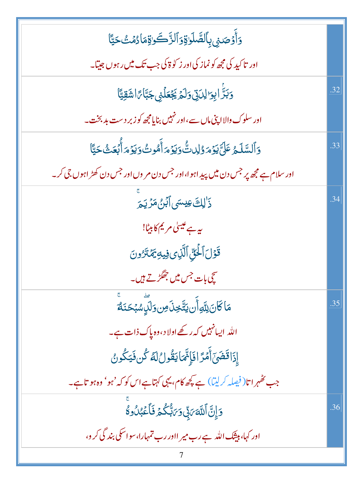| <u>ۏ</u> ٲۯٙڞڹۑ <b>ۣڹؚٲڵڞۜڶ</b> ۘۅۊۏٲڵڗؓۨ؎ؘۏۊٚڡؘٲۯ۠ڡؙٮ <i>ڎ۠</i> ؾٵ                    |     |
|----------------------------------------------------------------------------------------|-----|
| اور تاکید کی مجھ کو نماز کی اور ز کو ۃ کی جب تک میں رہوں جیتا۔                         |     |
| 5بَرَّ ابِوَالِدَيْنَ وَلَمَّ يَجْعَلُنِي جَبَّامًا اشَقِيَّا                          | .32 |
| اور سلوک والا اپنی ماں سے ،اور نہیں بنایامچھ کوزبر دست بدبخت۔                          |     |
| <u>و</u> َٱلسَّلَمُ عَلَىَّ يَوۡمَ وُلِلكُّ وَيَوۡمَ أَهُوتُ وَيَوۡمَ أَبۡعَثُ حَيَّاً | .33 |
| اور سلام ہے مجھ پر جس دن میں پید اہوا،اور جس دن مر وں اور جس دن کھڑ اہوں جی کر۔        |     |
| ذَٰ لِكَ عِيسَى ٱبۡرُ مَرۡ يَمَ                                                        | .34 |
| یہ ہے عیسیٰ مریم کابیٹا!                                                               |     |
| قَوْلَ ٱلۡئِيِّ ٱلَّذِى فِيهِ يَمۡنَرُونَ                                              |     |
| سچی بات <sup>جس</sup> میں جھگڑتے ہیں۔                                                  |     |
| مَا كَانَ لِلَّهِ أَن يَتَّخِذَ مِن وَلَّكِ سُبُحَنَهُ                                 | .35 |
| اللہ ایسانہیں کہ رکھے اولاد ،وہ پاک ذات ہے۔                                            |     |
| إِذَاقَضَىٓ أَمۡرَّ افَإِنَّهَايَقُولُ لَهُ كُن فَيَكُونُ                              |     |
| جب کٹھر اتا(فیصلہ کرلیتا) ہے کچھ کام، یہی کہتاہے اس کو کہ 'ہو' وہ ہو تاہے۔             |     |
| وَإِنَّ ٱللَّهَ مَبِّى وَمَاتُّكُمۡ فَأَعۡبُدُوهُ                                      | .36 |
| اور کہا، ہیشک اللہ ہے رب میر ااور رب تمہارا، سواسکی بند گی کر و،                       |     |
|                                                                                        |     |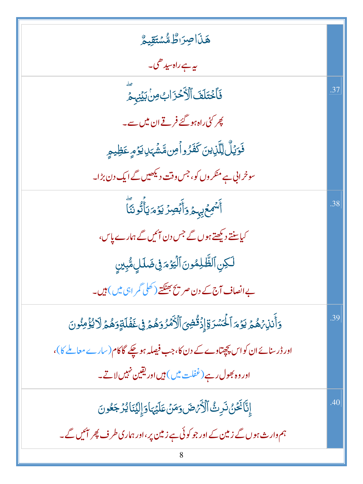| هَذَاصِرَاطُ مُّسْتَقِيمُ                                                                                |     |
|----------------------------------------------------------------------------------------------------------|-----|
| ىيە ہے راەسىدىھى _                                                                                       |     |
| فَأَخْتَلَفَ ٱلْأَخْزَابُ مِنْ بَيْنِهِمْ                                                                | .37 |
| پھر <sup>ک</sup> ئی راہ ہو گئے فرقے ان میں سے۔                                                           |     |
| فَوَيُلٌ لِلَّذِينَ كَفَرُواْمِن مَّشْهَدِيدَهِ عَظِيمٍ                                                  |     |
| سوخرانی ہے منکر وں کو، جس وقت دیکھیں گے ایک دن بڑا۔                                                      |     |
| ؚ<br>ٲ <sup>ۺ</sup> ۘڡؚڂ <sub>۪ڸ</sub> ؠؠۄۡۏٲۨڹۡڝؚۯؾۏٞڡؘؠؘٲٛؗڐ۠ۏڹؘٵؖ                                     | .38 |
| کیاسنتے دیکھتے ہوں گے جس دن آئیں گے ہمارے پاس،                                                           |     |
| لكِنِ ٱلظَّلِمُونَ ٱلۡيَوۡمَوۡى ضَلَلٍ مُّبِينِ                                                          |     |
| بے انصاف آج کے دن صر پیج بھٹکتے ( کھلی گمر ا <sup>ہی</sup> میں ) ہیں۔                                    |     |
| <u>و</u> َأَنذِيْهُمُ يَوْمَ ٱلۡكَسۡرَةِۚ إِذۡقُٰضِىٓ ٱلۡأَمۡرُوَهُمۡ فِى غَفۡلَةٍوَهُمۡ لَا يُؤۡمِنُونَ | 39  |
| اور ڈرسنائے ان کواس پچپتاوے کے دن کا،جب فیصلہ ہو چکے گاکام(سارے معاملے کا)،                              |     |
| اور وہ بھول رہے (غفلت میں ) ہیں اور یقین نہیں لاتے۔                                                      |     |
| ٳۣڹۜٵڬۘػؽ۠ٮؘۯؚٮؿ۠ٲڷۯؙۜٛؽٙڞؘۏڡؘڽٛڡؘڶؽٙؠؘٵۏٳؚڶؽؘڹٲؽۯڿڠۏڹؘ                                                  | 40  |
| ہم وار ث ہوں گے زمین کے اور جو کوئی ہے زمین پر ،اور ہماری طرف پھر ایمیں گے ۔                             |     |
|                                                                                                          |     |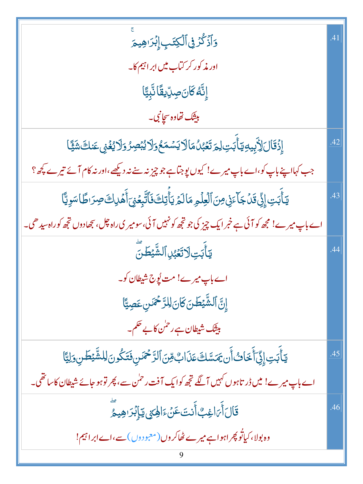| <b>وَٱذۡػُرۡ فِیۡٱلۡکِتَبِۙٳ۪ڹۡ</b> رَاهِیمَ                                                          | $\overline{4}$ |
|-------------------------------------------------------------------------------------------------------|----------------|
| اور مذکور کر کتاب میں ابر ا <sup>ہ</sup> یم کا۔                                                       |                |
| ٳۣڹؓڡ۠ػڶڽؘڝؚڸۨؽڠؘٵڹۜ۠ڹؚؾٗٵ                                                                            |                |
| <b>بيتک تھاوہ</b> سچانبی۔                                                                             |                |
| ٳۣۮ۬ۊؘٵڶٳڴؚؠؚۑڡؚؾٲٚڹۘؾؚڶؚ؏ؘؾؘۼۘ۠ؠ۠ڷڡؘٲڷٲؽۺڡؘڂۅؘڷٲؽڹٞڝۯۅؘڷٲؽۼ۬ۑۣٛعؘنڬٙۺؘؿٙٞٵ                           | .42            |
| جب کہااپنے باپ کو،اے باپ میرے! کیوں پوجتاہے جو چیز نہ سنے نہ دیکھے،اور نہ کام آئے تیرے پچھ؟           |                |
| يَأْبَتِ إِنِّي قَدْ جَآءَنِ مِنَ ٱلْعِلْمِ مَالَمْ يَأْتِكَ فَٱتَّبِعۡنِ ٓأَهۡلِكَ صِرَاطًاسَوِيَّا  | 43             |
| اے باپ میرے! مجھ کو آئی ہے خبر ایک چیز کی جو تجھ کو نہیں آئی،سومیر ی راہ چل، بجھادوں تجھ کوراہ سیدھی۔ |                |
| <b>ؾ</b> ٲۧڹؘؾؚؗؗڶٲؾؘۼؠ۠ٳٱڶۺ۠ <sub>ۜ</sub> ؿڟڽؖ                                                       | 44             |
| اے باپ میرے! مت لُ <u>و</u> ِج شیطان کو۔                                                              |                |
| ٳ <sub>ۣ</sub> ڹَّ ٱلشَّيۡطَنَ كَانَ لِلرَّحۡمَٰنِ عَصِيَّا                                           |                |
| بیٹک شیطان ہے ر <sup>حمٰن</sup> کا بے حکم۔                                                            |                |
| يَأْبَتِ إِنِّ أَخَاثُ أَن يَمَسَّكَ عَذَابٌ مِّنَ ٱلرَّحْمَنِ فَتَكُونَ لِلشَّيْطَنِ وَلِيَّا        | 45             |
| اے باپ میرے! میں ڈر تاہوں کہیں آگے تجھ کوایک آفت رحمٰن سے، پھر توہو جائے شیطان کاساتھی۔               |                |
| <u>قَال</u> َ أَىَ اغِبُّ أَنتَ عَنۡ ءَالِهَ مِنَ يَا إِبۡرَاهِيمُ                                    | .46            |
| وہ بولا، کیاتُو پھر اہواہے میرے ٹھاکر وں (معبو دوں) سے،اےابراہیم!                                     |                |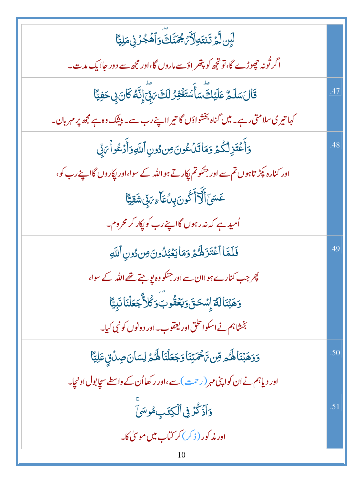| ڶؠٟڹڷؖۄٞڗؘڹؾؘۊؚڵٲ <i>ڹٙ۫<sup>ڮ</sup>ڣ</i> ؘڹۜ۠ڬٙؖۜۏٲۿۘۼ۠ۯٙڹۣ۬ڡؘڶؚؾ۠ۜٲ                                |     |
|------------------------------------------------------------------------------------------------------|-----|
| اگر تُونہ چھوڑے گا،تو تجھ کو پتھر اؤسے ماروں گا،اور مجھ سے دور حاایک مدت۔                            |     |
| <b>ػ</b> ؘالؘ <del>سَ</del> لَمُّ عَلَيۡكَ ۗسَأَسۡتَغۡفِرُ لَكَ ۖ رَبِّ ۖ إِنَّهُ كَانَ بِى حَفِيَّا |     |
| کہا تیر کی سلامتی رہے۔ میں گناہ بخشواؤں گا تیر ااپنے رب سے۔ بیثیک وہ ہے مجھ پر مہر بان۔              |     |
| وَأَعۡتَزِلۡكُمۡ وَمَاتَدۡكُونَ مِن دُونِ ٱللَّهِ وَأَدۡكُواۡ مَ بِّي                                | 48  |
| اور کنارہ پکڑ تاہوں تم سے اور جنکو تم پکار تے ہو اللہ کے سوا،اور پکاروں گااپنے رب کو،                |     |
| عَسَىٰٓٲڵؖؖۯ <i>ٚ</i> ٲۧػٛۅڽؘڹؚؚٮۢٛڡؘؘٲ <sub>ٷ</sub> ؍ٙۑٚٙۺؘڦؚؾۣٵ                                    |     |
| اُمید ہے کہ نہ رہوں گااپنے رب کو پکار کر محروم۔                                                      |     |
| فَلَمَّا أَعۡتَزَهَٰكُمۡ وَمَا يَعۡبُلُونَ مِن دُونِ ٱللَّهِ                                         | .49 |
| چر جب کنارے ہو اان سے اور جنکو وہ یو جتے تھے اللہ کے سوا،                                            |     |
| وَهَبۡنَالَمَّ إِسۡحَقَوَيَ <b>ۡقُوبَۗوَكُل</b> اٌّجَعَلۡنَانَبِيًّا                                 |     |
| بخشاہم نے اسکواسحٰق اور لیقوب۔اور دونوں کو نبی کیا۔                                                  |     |
| دَوَهَبۡنَاهَكُم مِّن تَحۡمَتِنَاوَجَعَلۡنَاهَكُمۡ لِسَانَ صِدۡنَٰىٰٓ عَلِيَّآا                      | .50 |
| اور دیاہم نے ان کواپنی مہر (رحمت) سے،اور رکھااُن کے واسطے سجابول اونجا۔                              |     |
| وَأَذْكُرُ فِي ٱلْكِتَبِ مُوسَىٰ                                                                     | .51 |
| اور مذکور (ذکر) کر کتاب میں موسیٰ کا۔                                                                |     |
| 10                                                                                                   |     |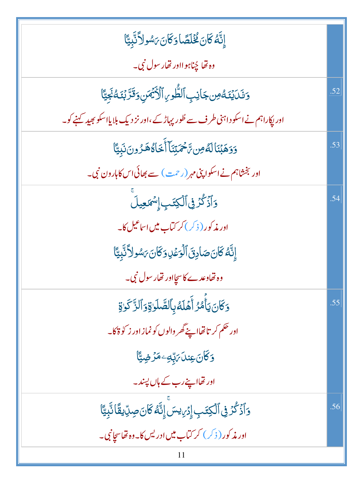| إِنَّهُ كَانَ كُخْلَصًا وَكَانَ بَسُولاً نَّبِيًّا                                                      |     |
|---------------------------------------------------------------------------------------------------------|-----|
| وه تھا چُناہوااور تھار سول نبی۔                                                                         |     |
| وَنَكَيْنَكُونِ جَانِبِ ٱلطُّوِيِ ٱلْأَيْمَنِ وَقَرَّبُنَكُّ نَجِيًّا                                   | .52 |
| اور پکاراہم نے اسکو داہنی طرف سے طُور پہاڑ کے ،اور نز دیک بلایااسکو بھید کہنے کو۔                       |     |
| وَوَهَبۡنَالَهُ مِن تَحۡمَتِنَآ أَخَاهُ هَـرُونَ نَبِيًّا                                               | .53 |
| اور بخشاہم نے اسکوا پنی مہر (رحمت ) سے بھائی اس کاہارون نبی۔                                            |     |
| <u>و</u> َٱذۡػُرۡ فِیۡٱلۡکِتَبِۚ إِسۡمَعِیلَ                                                            | .54 |
| اور مذکور (ذکر) کر ک <mark>تاب میں اساعیل کا</mark> ۔                                                   |     |
| إِنَّهُ كَانَ صَادِقَ ٱلْوَعُدِ وَكَانَ بَسُولاً نَّبِيًّا                                              |     |
| وہ تھاوعدے کاسچااور تھار سول نبی۔                                                                       |     |
| <u>و</u> َكَانَ يَأْمُرُ أَهَلَهُ بِٱلصَّلَوٰةِ وَٱلزَّ كَوٰةِ                                          | .55 |
| اور حکم کر تا تھااپنے گھر والوں کو نماز اور ز کو ۃکا۔                                                   |     |
| وَكَانَ عِندَ مَ <sub>ا</sub> تِّبِهِ مَرَّضِيًّا                                                       |     |
| اور تھااپنے رب کے ہاں پسند۔                                                                             |     |
| <u>ۅ</u> ٲۮٙػۢۯۏ۩ڷڮ <i>ؿٙؠؚ</i> ٳؚۯ <i>ؘ<sub>ؽ</sub>ؠ</i> ڛؘۨٳڹؓ <i>ۀ</i> ڰؘ <i>ؘڶؾؘڝؚ</i> ڔۨؠڤؘٲڹۜ۠ؾٵۧ | .56 |
| اور مذکور ( ذکر ) کر کتاب میں ادریس کا۔وہ تھاسچانبی۔                                                    |     |
| 11                                                                                                      |     |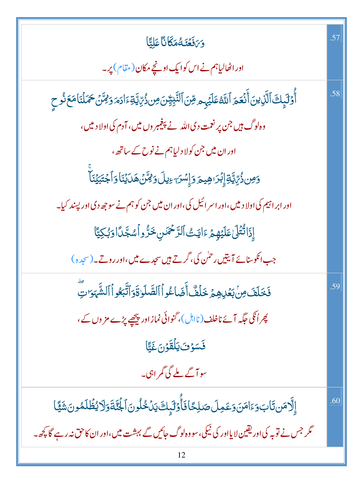| وَىَفَعَّنَهُمَكَانَا عَلِيًّا                                                                                                   | .57 |
|----------------------------------------------------------------------------------------------------------------------------------|-----|
| اور اٹھالیاہم نے اس کوایک اونچے مکان (مقام) پر۔                                                                                  |     |
| أَوْلَيْكَ ٱلَّذِينَ أَنۡعَمَ ٱللَّهُ عَلَيۡہِم مِّنَ ٱلتَّبِيُّنَ مِن ذُیِّ یَّةِۦٓادَمَ وَمِّنۡنَ حَمَلۡنَامَعَ ذُوحِ          | .58 |
| وہ <sup>لو</sup> گ ہیں جن پر نعمت دی اللہ نے پی <del>نی</del> مبر وں میں، آدم کی اولا د میں،                                     |     |
| اور ان میں جن کولا دلیاہم نے نوح کے ساتھ <sup>ی</sup>                                                                            |     |
| ۯ <i>ڡؚ</i> ڹۥ۠ۢ <i>ڔۨٞ</i> ڸۜؾٞٳۣۨڹ۪ؗٞڗٳۿؚؠ <u>ۃ</u> ۯٳۣ <i>ۺڗ<sub>ٙٵۼ</sub>ڸ</i> ڵۄ <i>ڒڣڗ۠</i> ؽۿڶڸۘڹٛٲۅٲڿ <del>ؾ</del> ڹؽ۬ٲۜ |     |
| اور ابر اہیم کی اولا دییں،اور اسر ائیل کی،اور ان میں جن کو ہم نے سو جھ دی اور پسند کیا۔                                          |     |
| إِذَاتُّتُلَىٰ عَلَيْهِمْ ءَايَتْ ٱلرَّحْمَسِ خَرٌّواْ سُجَّدًا وَبُكِيًّا                                                       |     |
| جب انکوسنائے آیتیں رحمٰن کی، گرتے ہیں سجدے میں،اور روتے۔ (سجدہ)                                                                  |     |
| فَخَلَفَ مِنْ بَعْدِهِمْ خَلَفٌ أَضَاعُواْ ٱلصَّلَوٰةَ وَٱتَّبَعُواْ ٱلشَّهَوَ لَّ                                               | .59 |
| پھر اُنگی جگہ آئے ناخلف (نااہل)، گنوائی نماز اور پی <u>ج</u> ھے پڑے مز وں کے ،                                                   |     |
| فَسَوْفَ يَلْقَوْنَ غَيًّا                                                                                                       |     |
| سو آگے ملے گی گمر اہی۔                                                                                                           |     |
| إِلَّامَن تَابَ وَءَامَنَ وَعَمِلَ صَلِحًا فَأَوْلَيْكَ يَنْخُلُونَ ٱلْجُنَّةَ وَلَا يُظُلَمُونَ شَيَّا                          | .60 |
| گر جس نے تو بہ کی اور یقین لا یااور کی نیکی، سو وہ لوگ جائیں گے بہشت میں،اور ان کاحق نہ رہے گا پچھ ۔                             |     |
| 12                                                                                                                               |     |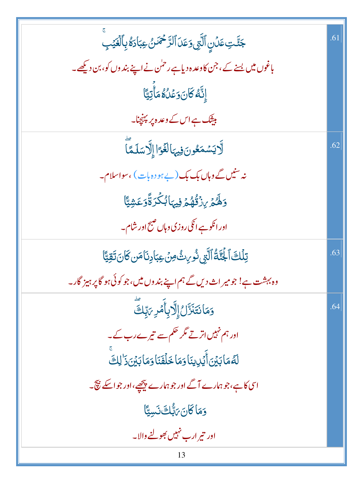| جَنَّتِ عَدۡنِ ٱلَّتِي وَعَدَ ٱلرَّحۡمَدَنُ عِبَادَةُ بِٱلۡغَيۡبِ                  | .61 |
|------------------------------------------------------------------------------------|-----|
| باغوں میں بسنے کے، جن کاوعدہ دیاہے رحمٰن نے اپنے بندوں کو، بن دیکھے۔               |     |
| ٳۣڹ <sup>ٞ</sup> ڷ <i>ڂ</i> ڰؘٙڶڽؘۏڠڵؗڰؙڡؘٲۨؾؚؾۜٵ                                  |     |
| بیٹک ہے اس کے وعد ہ پر پہنچنا۔                                                     |     |
| لَّايَسُمَعُونَ فِيهَالَغَوَّا إِلَّاسَلَمَّا                                      | .62 |
| نہ سنیں گے وہاں بک بک (بے ہو دہ بات) ،سواسلام۔                                     |     |
| وَهُدۡ <i>إِذْ قُهُمۡ فِيہَائِكُرَ ةَۚوَعَشِ</i> يَّا                              |     |
| اور انکو ہے انکی روزی وہاں صبح اور شام۔                                            |     |
| ڗ <i>ڹ</i> ڷٙڬٙٱ <del>ڶ</del> ڹؐڐؙٱڶؖڹۣ؈ؙٚٛۯ <sub>ؚ؇</sub> ٮؿ۠؋ؚڽ؏ۼٵ۪ۮؚٮؘ۬ٵڡؘڹػٳؾٵ | .63 |
| وہ بہشت ہے! جومیر اث دیں گے ہم اپنے بند وں میں،جو کوئی ہو گا پر ہیز گار۔           |     |
| وَمَان <i>تَنَزَّلُ</i> إِلَّا بِأَمۡرِ <i>بَ</i> بِّكَ                            | .64 |
| اور ہم نہیں اترتے مگر حکم سے تیرے رب کے۔                                           |     |
| لَّهُمَابَيْنَ أَيُلِينَا وَمَا خَلَفَنَا وَمَابَيْنَ ذَٰ لِكَ                     |     |
| اسی کاہے، جو ہمارے آگے اور جو ہمارے پیچھے،اور جو اسکے نیچ۔                         |     |
| وَمَاكَانَ بَابُّكَ نَسِيًّا                                                       |     |
| اور تیر ارب نہیں بھولنے والا۔                                                      |     |
| 13                                                                                 |     |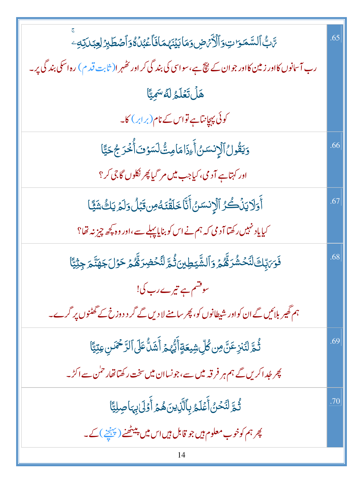| ؆ڹ <sup>ۣ</sup> ۠ٵۘڶۺۜڡۜٷٮؾ؋ٲڷڒۢ <i>ؠٛٙۻ</i> ۏڡؘٵڹؽٙڹؘؠ۠ڡٵڡؘ۬ٲۼڹ۠ڷٷۏٲڞڟڗؚڐڸۼڹڷؾڡؚ                       | .65 |
|---------------------------------------------------------------------------------------------------------|-----|
| رب آسانوں کااور زمین کااور جوان کے نتیج ہے،سواسی کی بند گی کر اور تھُہر ا( ثابت قدم) رہ اسکی بند گی پر۔ |     |
| هَلْ تَعَلَّمُ لَّهُ سَمِيًّا                                                                           |     |
| کوئی پیچانتاہے تواس کے نام(برابر) کا۔                                                                   |     |
| وَيَقُولُ ٱلۡإِنسَىٰ ۚأَءِذَامَامِتُّ لَسَوۡفَ أَٰ خُرَجُ حَيَّا                                        | .66 |
| اور کہتاہے آدمی، کیاجب میں مر <sup>س</sup> یا پھر نکلوں گاجی کر ؟                                       |     |
| أَوَلَا يَنۡكُنُ لَّالۡإِنسَنُ أَنَّا خَلَقۡنَهُ مِن قَبۡلُ وَلَمۡ يَكُ شَيَّا                          | .67 |
| کیایاد <sup>من</sup> ہیں رکھتا آدمی کہ ہم نے اس کو بنایا پہلے سے،اور وہ <u>پ</u> چھ چیز نہ تھا؟         |     |
| <b>ذَ</b> رَ، إِلثَ لَنَحۡشُرَهُّمُ وَٱلشَّيۡطِينَ ثُمَّ لِنُّحۡضِرَهُّمُ حَوۡلَ جَهَنَّمَ جِثۡيَّآا    | .68 |
| سوقشم ہے تیرے رب کی!                                                                                    |     |
| ہم گھیر بلائیں گے ان کواور شیطانوں کو، پھر سامنے لا دیں گے گر د دوزخ کے گھٹنوں پر گرے۔                  |     |
| ثُمَّ لَنَنزِعَنَّ مِن كُلِّ شِيعَةٍ أَيُّهُمَّ أَشَلُّ عَلَى ٱلرَّحْمَنِ عِتِيًّا                      | .69 |
| پھر جُداکریں گے ہم ہر فرقہ میں سے،جونساان میں سخت رکھتاتھار حمٰن سے اکڑ۔                                |     |
| ثُمَّ لَنَحْنُ أَعۡلَمُ بِٱلَّٰٓذِينَ هُمۡ أَوۡلَىٰٰٓنِهَا صِلِيًّا                                     | .70 |
| پھر ہم کوخوب معلوم ہیں جو قابل ہیں اس میں پیٹھنے (پہنچنے )کے۔                                           |     |
|                                                                                                         |     |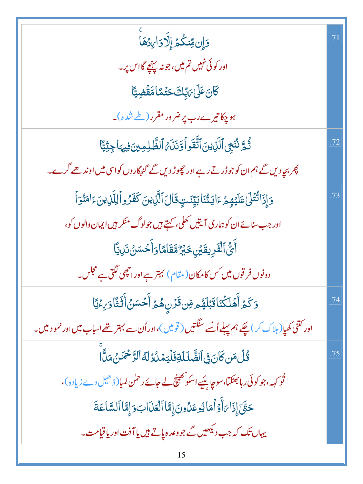| وَإِن مِّنكُمُ إِلَّا وَارِدُهَا                                                                        |     |
|---------------------------------------------------------------------------------------------------------|-----|
| اور کوئی نہیں تم میں، جو نہ پہنچے گااس پر۔                                                              |     |
| ػ <i>ۜ</i> ؘؘؘڶؾؘٷٙڶ <i>ؾ</i> ڔٙٚڸڰٙڂؿٙ۠ۿٵۿ <i>ٙ</i> ڨؘۻؚؾ۠ٵ                                            |     |
| ہو چکاتیرے رب پر ضرور مقرر (طے شدہ)۔                                                                    |     |
| ثُمَّ نُنَجِّىٱلَّذِينَٱتَّقَواۡوَّنَنَىٰۚٱلظَّٰلِمِينَ فِيهَاجِثِيًّا                                  | .72 |
| پھر بچادیں گے ہم ان کو جو ڈرتے رہے اور حچوڑ دیں گے گنہگاروں کواسی میں اوند ھے گرے۔                      |     |
| وَإِذَاتُّتُلَىٰ عَلَيْهِمْ ءَايَتُنَابَيِّئَتٍ قَالَ ٱلَّزِينَ كَفَرُواْلِلَّزِينَ ءَامَنُوَاْ         | .73 |
| اور جب سنائے ان کو ہماری آیتیں کھلی، کہتے ہیں جولوگ منکر ہیں ایمان والوں کو،                            |     |
| ٲؖؾ۠۠ٱڶڨۘٙڔؚؠڨٙؽٙڹؚڂٙڹٙڒؚٛۄۜٞڦؘڶٲٵۏٲۧڂۺڹٛٮؘڸؾؓٵ                                                         |     |
| دونوں فر قوں میں <sub>کس</sub> کا مکان(مقام) بہتر ہے اور ان <u>چھی لگتی ہ</u> ے مجلس۔                   |     |
| وَكَمْ أَهَلَكُنَاقَبَلَهُم مِّن قَرَنِ هُمُ أَحۡسَنُ أَثَيَّاوَىِءۡيَّا                                | .74 |
| اور کتنی کھیا( ہلاک کر) چکے ہم پہلے اُنسے سنگتیں ( قومیں )،اور اُن سے بہتر تھے اسباب میں اور نمو د میں۔ |     |
| ۛ<br><i>ۊ۠</i> ڶٙ؋ؘڹ؆ؾ؋۩ڵڞؖڶڶڷۊڡؘڶؾڡؘٮؗٛۮڶڎٱڵڗٞڂ <i>ٛڡؘ</i> ٙڹ۠؋ٮٵۨ                                     | .75 |
| تُو <sub>ک</sub> ہہ،جو کوئی رہابھٹکتا،سوچاپئیےاسکوٹھینچ لے جائے رحمٰن لمبا(ڈھیل دے زیادہ)،              |     |
| حَتَّىٰٓ إِذَا رَأَوۡ أَمَا يُوعَدُونَ إِمَّا ٱلۡعَذَابَ وَإِمَّا ٱلسَّاعَةَ                            |     |
| یہاں تک کہ جب دیکھیں گے جووعدہ پاتے ہیں یا آفت اور یا قیامت۔                                            |     |
| 15                                                                                                      |     |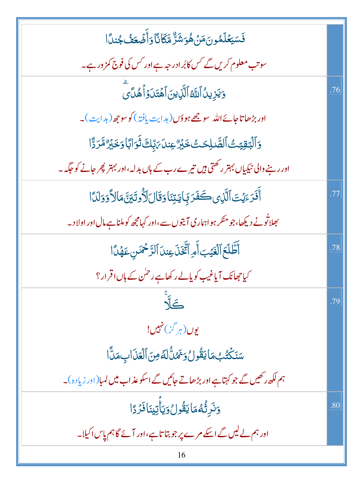| فَسَيَعۡلَمُونَمَنۡهُوَشَرٌّهَآثَآوَأَضۡعَفُ جُندًا                                |     |
|------------------------------------------------------------------------------------|-----|
| سوتب معلوم کریں گے کس کابُر ادر جہ ہے اور کس کی فوج کمز ور ہے۔                     |     |
| وَيَزِينُ ٱللَّهُ ٱلَّذِينَ ٱهۡتَدَوۡ ٱهُدَىَ                                      | .76 |
| اور بڑھ <mark>ا تاجائے اللہ سو جھے ہو دَں (ہدایت یافتہ) کوسو جھ (ہدایت)۔</mark>    |     |
| <u>و</u> ؘٲڷڹۊؚؾؾ۠ٲڶڞۜڔڶؚػؾ۠ڂڹٞڒ۠ۼؚڹڷ؆۪ڹڬڎؘۏؘٲڹٲۏڂؘڹڒٛڡٞڗڐٞٲ                       |     |
| اور رہنے والی نیکیاں بہتر رکھتی ہیں تیرے رب کے ہاں بدلہ،اور بہتر پھر جانے کو حکّہ۔ |     |
| أَفَرَءَيۡتَ ٱلَّذِى كَفَرَ بِٓايَتِنَاوَقَالَلَأُوتَيَنَّ مَالاًوَدَلَنَّا        | .77 |
| بھلاتُونے دیکھا،جومنکر ہو اہماری آیتوں سے،اور کہامجھ کوملناہے مال اور اولا د۔      |     |
| أَطَّلَعَ ٱلْغَيۡبَ أَمِ ٱتَّخَذَى عِندَ ٱلرَّحۡمَسِ عَهۡدًا                       | .78 |
| کیاچھانک آیاغیب کوپالے رکھاہے رحمٰن کے ہاں اقرار؟                                  |     |
|                                                                                    | .79 |
| بوں (ہر گز) نہیں!                                                                  |     |
| سَنَكْتُبُ مَايَقُولُ وَنَمْنٌ لَهُ مِنَ ٱلْعَذَابِ مَنَّا                         |     |
| ہم لکھ رکھیں گے جو کہتاہے اور بڑھاتے جائیں گے اسکو عذاب میں لمبا(اور زیادہ)۔       |     |
| <u>و</u> َنَرِثُّهُمَايَقُولُ وَيَأْتِينَافَرُدًا                                  | .80 |
| اور ہم لے لیں گے اسکے مرے پر جو بتا تاہے،اور آئے گا ہم پاس اکیلا۔                  |     |
| 16                                                                                 |     |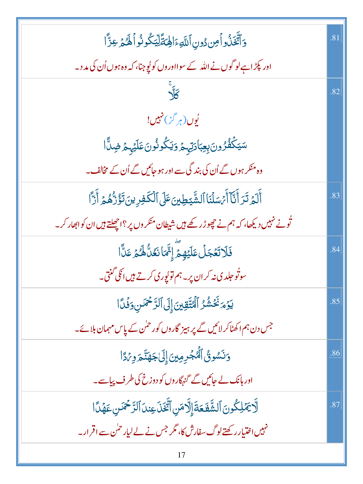| وَٱتَّخَذُواۡ مِن دُونِ ٱللَّٰهِۦٓ الْهَقَلِّيۡكُونُواۡ اَلَّٰهُ وَعِزَّا             | .81 |
|---------------------------------------------------------------------------------------|-----|
| اور پکڑ اہےلو گوں نے اللہ کے سوااوروں کو پُوجنا، کہ وہ ہوں اُن کی مد د۔               |     |
| $\frac{1}{\sqrt{2}}$                                                                  | .82 |
| بُوں (ہر گز) نہیں!                                                                    |     |
| سَيَكۡفُرُونَ <sub>لِ</sub> عِبَادَتِہؚٖمۡ وَيَكُونُونَعَلَيۡہِمۡ ضِلَّاۤا            |     |
| وہ منکر ہوں گے اُن کی بند گی سے اور ہو جائیں گے اُن کے مخالف۔                         |     |
| أَلَمَ تَرَ أَنَّآ أَيْسَلَنَا ٱلشَّيَطِينَ عَلَى ٱلْكَفِرِينَ تَؤُرُّهُمَّ أَرَّاً   | .83 |
| تُونے نہیں دیکھا، کہ ہم نے چھوڑ رکھے ہیں شیطان منکر وں پر ؟اچھلتے ہیں ان کو ابھار کر۔ |     |
| فَلَاتَعۡجَلۡ عَلَيۡهِمۡٓ إِنَّمَانَعَنَّالَهُ ۚ عَنَّا                               | .84 |
| سوتُو حِلد ي نه کر ان پر - ہم تو پُوری کرتے ہیں انکی گنتی۔                            |     |
| يَوۡمَنَّخۡشُرُ ٱلۡتَّقِينَ إِلَى ٱلرَّحۡمَٰنِ وَفَٰلًا                               | .85 |
| جس دن ہم اکھٹا کر لائیں گے پر ہیز گاروں کور <sup>ح</sup> نی کے پاس مہمان بلائے۔       |     |
| وَنَسُونُۢ ٱلۡۡجۡرِمِینَۚ إِلَیۡاجَهَنَّـٰٓ وِیۡآَا                                   | .86 |
| اور ہانک لے جائیں گے گنہگاروں کو دوزخ کی طرف پیاسے۔                                   |     |
| لَّا يَمَٰلِكُونَ ٱلشَّفَعَةَ إِلَّا مَنِ ٱتَّخَذَ عِندَ ٱلرَّحْمَنِ عَهُدًا          | .87 |
| نہیں اختیار رکھتے لوگ سفارش کا، مگر جس نے لے لیار حمٰن سے اقرار۔                      |     |
| 17                                                                                    |     |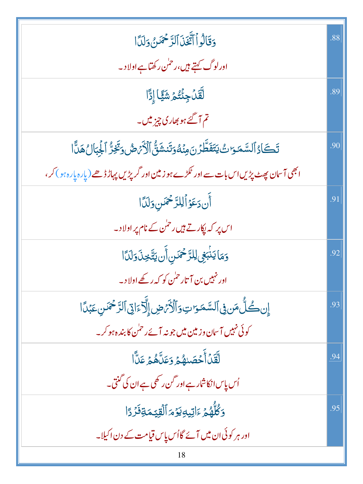| وَقَالُواْ أَتَّغَنَ ٱلرَّحْمَنُ وَلَدَّا                                                                       | .88 |
|-----------------------------------------------------------------------------------------------------------------|-----|
| اورلوگ <del>کہتے</del> ہیں،رحمٰن رکھتاہے اولا د۔                                                                |     |
| لَّقَلۡ جِئۡتُمۡ شَيَّا إِذًّا                                                                                  | .89 |
| تم آگئے ہو بھاری چیز میں۔                                                                                       |     |
| تَكَادُ ٱلسَّمَرَاتُ يَتَفَطَّرُنَ مِنۡهُوَتَنشَقُّ ٱلۡأَرۡهِ ۚ وَتَخِرُّ ٱلۡجِبَالُ هَلَّا                     | .90 |
| ا بھی آسان پھٹ پڑیں اس بات سے اور ٹکڑے ہو <mark>زمین اور</mark> گرپڑیں پہاڑ ڈھے(پارہ پارہ ہ <sup>ی</sup> ں کر ، |     |
| أَن دَعَوۡ اَلِلرَّحۡمَن وَلَدَّا                                                                               | .91 |
| اس پر کہ پکار تے ہیں رحمٰن کے نام پر اولا د۔                                                                    |     |
| وَمَا يَذْبَعِى لِلرَّحْمَسِ أَن يَتَّخِذَ وَلَدَّا                                                             | .92 |
| اور نہیں بن آتار ح <sup>ل</sup> ن کو کہ رکھے اولا د۔                                                            |     |
| إِن كُلُّ مَن فِى ٱلسَّمَوَاتِ وَٱلۡكَٰرۡصِ إِلَّآءَاتِىٰٓ ٱلرَّحۡمَٰنِ عَبۡدًا                                 | .93 |
| کوئی نہیں آ سان وزمین میں جو نہ آئے رحمٰن کا بندہ ہو کر _                                                       |     |
| لِّقَدۡأَحۡصَنِهُمۡ وَعَلَّاهُمۡ عَلَّا                                                                         | .94 |
| اُس پاس انکاشار ہے اور گن رکھی ہے ان کی گنتی۔                                                                   |     |
| وَكُلُّهُمۡ ءَاٰتِيهِيَوۡمَٱلۡقِيۡمَةِفَرۡدًا                                                                   | .95 |
| اور ہر کوئی ان میں آئے گااُس پاس قیامت کے دن اکیلا۔                                                             |     |
| 18                                                                                                              |     |